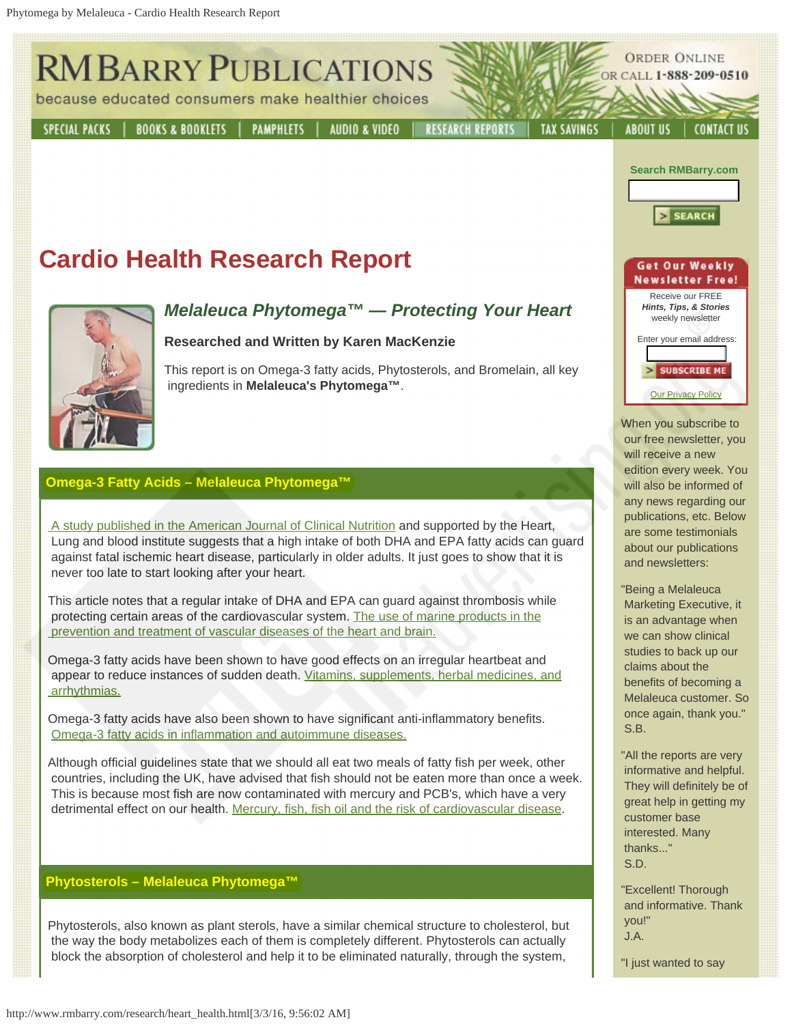

"Excellent! Thorough and informative. Thank

"I just wanted to say

 you!" J.A.

## **Phytosterols – Melaleuca Phytomega™**

Phytosterols, also known as plant sterols, have a similar chemical structure to cholesterol, but the way the body metabolizes each of them is completely different. Phytosterols can actually block the absorption of cholesterol and help it to be eliminated naturally, through the system,